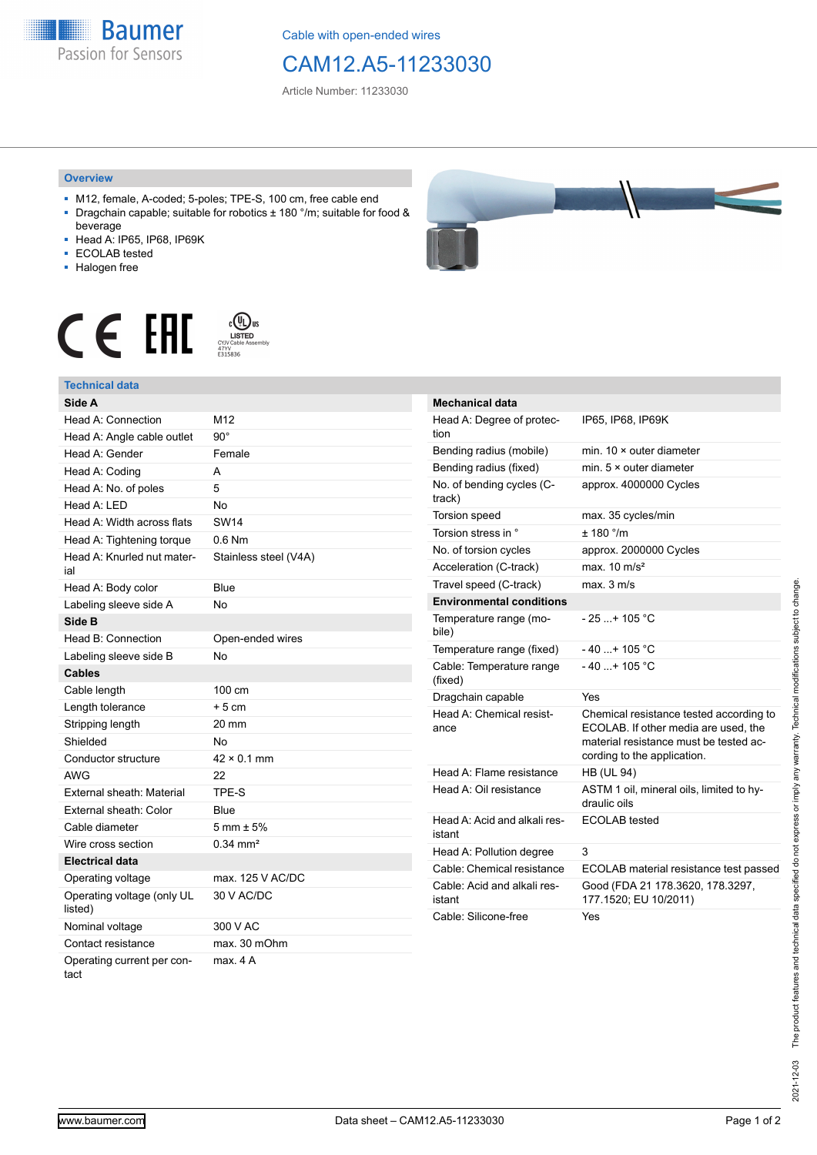**Baumer** Passion for Sensors

Cable with open-ended wires

## CAM12.A5-11233030

Article Number: 11233030

## **Overview**

- M12, female, A-coded; 5-poles; TPE-S, 100 cm, free cable end ■ Dragchain capable; suitable for robotics ± 180 °/m; suitable for food &
- beverage ■ Head A: IP65, IP68, IP69K
- ECOLAB tested
- 
- Halogen free





## **Technical data**

| Side A                                |                        |
|---------------------------------------|------------------------|
| Head A: Connection                    | M12                    |
| Head A: Angle cable outlet            | $90^{\circ}$           |
| Head A: Gender                        | Female                 |
| Head A: Coding                        | A                      |
| Head A: No. of poles                  | 5                      |
| Head A: LED                           | No                     |
| Head A: Width across flats            | <b>SW14</b>            |
| Head A: Tightening torque             | $0.6$ Nm               |
| Head A: Knurled nut mater-<br>ial     | Stainless steel (V4A)  |
| Head A: Body color                    | Blue                   |
| Labeling sleeve side A                | No                     |
| Side B                                |                        |
| Head B: Connection                    | Open-ended wires       |
| Labeling sleeve side B                | No                     |
| <b>Cables</b>                         |                        |
| Cable length                          | 100 cm                 |
| Length tolerance                      | $+5cm$                 |
| Stripping length                      | 20 mm                  |
| Shielded                              | <b>No</b>              |
| Conductor structure                   | $42 \times 0.1$ mm     |
| AWG                                   | 22                     |
| External sheath: Material             | TPE-S                  |
| External sheath: Color                | Blue                   |
| Cable diameter                        | $5 \text{ mm} \pm 5\%$ |
| Wire cross section                    | $0.34$ mm <sup>2</sup> |
| <b>Electrical data</b>                |                        |
| Operating voltage                     | max. 125 V AC/DC       |
| Operating voltage (only UL<br>listed) | 30 V AC/DC             |
| Nominal voltage                       | 300 V AC               |
| Contact resistance                    | max. 30 mOhm           |
| Operating current per con-<br>tact    | max. 4 A               |



| <b>Mechanical data</b>                 |                                                                                                                                                          |
|----------------------------------------|----------------------------------------------------------------------------------------------------------------------------------------------------------|
| Head A: Degree of protec-<br>tion      | IP65, IP68, IP69K                                                                                                                                        |
| Bending radius (mobile)                | min. $10 \times$ outer diameter                                                                                                                          |
| Bending radius (fixed)                 | min. $5 \times$ outer diameter                                                                                                                           |
| No. of bending cycles (C-<br>track)    | approx. 4000000 Cycles                                                                                                                                   |
| <b>Torsion speed</b>                   | max. 35 cycles/min                                                                                                                                       |
| Torsion stress in °                    | $+ 180$ °/m                                                                                                                                              |
| No. of torsion cycles                  | approx. 2000000 Cycles                                                                                                                                   |
| Acceleration (C-track)                 | max. $10 \text{ m/s}^2$                                                                                                                                  |
| Travel speed (C-track)                 | max. 3 m/s                                                                                                                                               |
| <b>Environmental conditions</b>        |                                                                                                                                                          |
| Temperature range (mo-<br>bile)        | $-25+105 °C$                                                                                                                                             |
| Temperature range (fixed)              | $-40$ + 105 °C                                                                                                                                           |
| Cable: Temperature range<br>(fixed)    | $-40$ + 105 °C                                                                                                                                           |
| Dragchain capable                      | Yes                                                                                                                                                      |
| Head A: Chemical resist-<br>ance       | Chemical resistance tested according to<br>ECOLAB. If other media are used, the<br>material resistance must be tested ac-<br>cording to the application. |
| Head A: Flame resistance               | <b>HB (UL 94)</b>                                                                                                                                        |
| Head A: Oil resistance                 | ASTM 1 oil, mineral oils, limited to hy-<br>draulic oils                                                                                                 |
| Head A: Acid and alkali res-<br>istant | <b>ECOLAB</b> tested                                                                                                                                     |
| Head A: Pollution degree               | 3                                                                                                                                                        |
| Cable: Chemical resistance             | ECOLAB material resistance test passed                                                                                                                   |
| Cable: Acid and alkali res-<br>istant  | Good (FDA 21 178.3620, 178.3297,<br>177.1520; EU 10/2011)                                                                                                |
| Cable: Silicone-free                   | Yes                                                                                                                                                      |